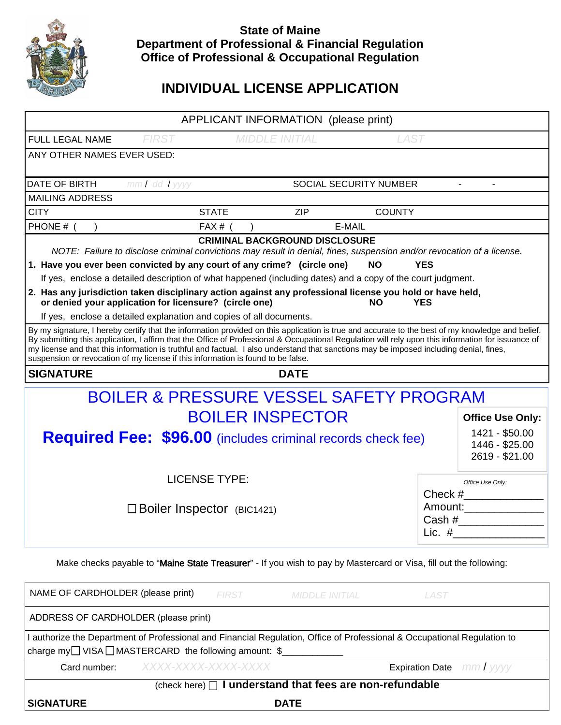

## **State of Maine Department of Professional & Financial Regulation Office of Professional & Occupational Regulation**

# **INDIVIDUAL LICENSE APPLICATION**

| APPLICANT INFORMATION (please print)                                                                                                                                                                                                                                                                                                                                                                                                                                                                                                 |                      |                                      |                       |                        |             |                                                    |  |  |
|--------------------------------------------------------------------------------------------------------------------------------------------------------------------------------------------------------------------------------------------------------------------------------------------------------------------------------------------------------------------------------------------------------------------------------------------------------------------------------------------------------------------------------------|----------------------|--------------------------------------|-----------------------|------------------------|-------------|----------------------------------------------------|--|--|
| FULL LEGAL NAME                                                                                                                                                                                                                                                                                                                                                                                                                                                                                                                      | <b>FIRST</b>         | <b>MIDDLE INITIAL</b><br><b>LAST</b> |                       |                        |             |                                                    |  |  |
| ANY OTHER NAMES EVER USED:                                                                                                                                                                                                                                                                                                                                                                                                                                                                                                           |                      |                                      |                       |                        |             |                                                    |  |  |
| DATE OF BIRTH                                                                                                                                                                                                                                                                                                                                                                                                                                                                                                                        | $mmI$ dd $I$ yyyy    |                                      |                       | SOCIAL SECURITY NUMBER |             |                                                    |  |  |
| <b>MAILING ADDRESS</b>                                                                                                                                                                                                                                                                                                                                                                                                                                                                                                               |                      |                                      |                       |                        |             |                                                    |  |  |
| <b>CITY</b>                                                                                                                                                                                                                                                                                                                                                                                                                                                                                                                          | <b>STATE</b>         |                                      | <b>ZIP</b>            | <b>COUNTY</b>          |             |                                                    |  |  |
| PHONE # (                                                                                                                                                                                                                                                                                                                                                                                                                                                                                                                            |                      | $FAX#$ (                             |                       | E-MAIL                 |             |                                                    |  |  |
| <b>CRIMINAL BACKGROUND DISCLOSURE</b><br>NOTE: Failure to disclose criminal convictions may result in denial, fines, suspension and/or revocation of a license.                                                                                                                                                                                                                                                                                                                                                                      |                      |                                      |                       |                        |             |                                                    |  |  |
| 1. Have you ever been convicted by any court of any crime? (circle one)<br><b>NO</b><br><b>YES</b>                                                                                                                                                                                                                                                                                                                                                                                                                                   |                      |                                      |                       |                        |             |                                                    |  |  |
| If yes, enclose a detailed description of what happened (including dates) and a copy of the court judgment.                                                                                                                                                                                                                                                                                                                                                                                                                          |                      |                                      |                       |                        |             |                                                    |  |  |
| 2. Has any jurisdiction taken disciplinary action against any professional license you hold or have held,<br>or denied your application for licensure? (circle one)<br><b>NO</b><br><b>YES</b>                                                                                                                                                                                                                                                                                                                                       |                      |                                      |                       |                        |             |                                                    |  |  |
| If yes, enclose a detailed explanation and copies of all documents.                                                                                                                                                                                                                                                                                                                                                                                                                                                                  |                      |                                      |                       |                        |             |                                                    |  |  |
| By my signature, I hereby certify that the information provided on this application is true and accurate to the best of my knowledge and belief.<br>By submitting this application, I affirm that the Office of Professional & Occupational Regulation will rely upon this information for issuance of<br>my license and that this information is truthful and factual. I also understand that sanctions may be imposed including denial, fines,<br>suspension or revocation of my license if this information is found to be false. |                      |                                      |                       |                        |             |                                                    |  |  |
| <b>SIGNATURE</b>                                                                                                                                                                                                                                                                                                                                                                                                                                                                                                                     |                      |                                      | <b>DATE</b>           |                        |             |                                                    |  |  |
| <b>BOILER &amp; PRESSURE VESSEL SAFETY PROGRAM</b>                                                                                                                                                                                                                                                                                                                                                                                                                                                                                   |                      |                                      |                       |                        |             |                                                    |  |  |
| <b>BOILER INSPECTOR</b>                                                                                                                                                                                                                                                                                                                                                                                                                                                                                                              |                      |                                      |                       |                        |             | <b>Office Use Only:</b>                            |  |  |
| <b>Required Fee: \$96.00</b> (includes criminal records check fee)                                                                                                                                                                                                                                                                                                                                                                                                                                                                   |                      |                                      |                       |                        |             | 1421 - \$50.00<br>1446 - \$25.00<br>2619 - \$21.00 |  |  |
|                                                                                                                                                                                                                                                                                                                                                                                                                                                                                                                                      | <b>LICENSE TYPE:</b> |                                      |                       |                        |             |                                                    |  |  |
|                                                                                                                                                                                                                                                                                                                                                                                                                                                                                                                                      |                      |                                      |                       |                        |             | Office Use Only:<br>$Check \#$                     |  |  |
| $\Box$ Boiler Inspector (BIC1421)                                                                                                                                                                                                                                                                                                                                                                                                                                                                                                    |                      |                                      |                       |                        |             | Amount:                                            |  |  |
|                                                                                                                                                                                                                                                                                                                                                                                                                                                                                                                                      |                      |                                      |                       |                        |             |                                                    |  |  |
|                                                                                                                                                                                                                                                                                                                                                                                                                                                                                                                                      |                      |                                      |                       |                        |             | Lic. $#$                                           |  |  |
| Make checks payable to "Maine State Treasurer" - If you wish to pay by Mastercard or Visa, fill out the following:                                                                                                                                                                                                                                                                                                                                                                                                                   |                      |                                      |                       |                        |             |                                                    |  |  |
| NAME OF CARDHOLDER (please print)                                                                                                                                                                                                                                                                                                                                                                                                                                                                                                    |                      | <b>FIRST</b>                         | <b>MIDDLE INITIAL</b> |                        | <b>LAST</b> |                                                    |  |  |
| ADDRESS OF CARDHOLDER (please print)                                                                                                                                                                                                                                                                                                                                                                                                                                                                                                 |                      |                                      |                       |                        |             |                                                    |  |  |
| I authorize the Department of Professional and Financial Regulation, Office of Professional & Occupational Regulation to<br>charge my□ VISA□MASTERCARD the following amount: \$                                                                                                                                                                                                                                                                                                                                                      |                      |                                      |                       |                        |             |                                                    |  |  |
| Card number:                                                                                                                                                                                                                                                                                                                                                                                                                                                                                                                         | XXXX-XXXX-XXXX-XXXX  |                                      |                       |                        |             | <b>Expiration Date</b> mm/yyyy                     |  |  |
| (check here) $\Box$ I understand that fees are non-refundable                                                                                                                                                                                                                                                                                                                                                                                                                                                                        |                      |                                      |                       |                        |             |                                                    |  |  |
| <b>SIGNATURE</b>                                                                                                                                                                                                                                                                                                                                                                                                                                                                                                                     |                      | <b>DATE</b>                          |                       |                        |             |                                                    |  |  |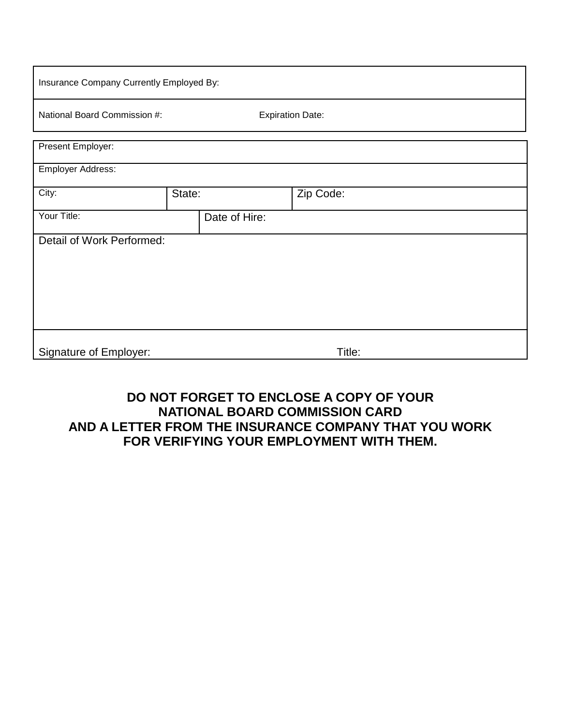| Insurance Company Currently Employed By: |               |                         |           |  |  |  |  |  |  |
|------------------------------------------|---------------|-------------------------|-----------|--|--|--|--|--|--|
| National Board Commission #:             |               | <b>Expiration Date:</b> |           |  |  |  |  |  |  |
| Present Employer:                        |               |                         |           |  |  |  |  |  |  |
| Employer Address:                        |               |                         |           |  |  |  |  |  |  |
| City:                                    | State:        |                         | Zip Code: |  |  |  |  |  |  |
| Your Title:                              | Date of Hire: |                         |           |  |  |  |  |  |  |
| Detail of Work Performed:                |               |                         |           |  |  |  |  |  |  |
| <b>Signature of Employer:</b>            |               |                         | Title:    |  |  |  |  |  |  |

## **DO NOT FORGET TO ENCLOSE A COPY OF YOUR NATIONAL BOARD COMMISSION CARD AND A LETTER FROM THE INSURANCE COMPANY THAT YOU WORK FOR VERIFYING YOUR EMPLOYMENT WITH THEM.**